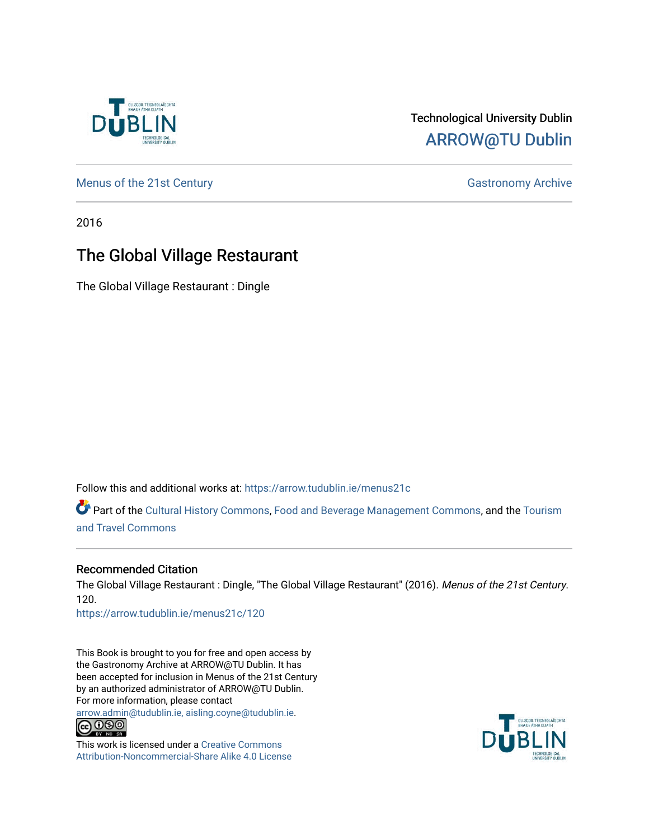

## Technological University Dublin [ARROW@TU Dublin](https://arrow.tudublin.ie/)

[Menus of the 21st Century](https://arrow.tudublin.ie/menus21c) Gastronomy Archive

2016

# The Global Village Restaurant

The Global Village Restaurant : Dingle

Follow this and additional works at: [https://arrow.tudublin.ie/menus21c](https://arrow.tudublin.ie/menus21c?utm_source=arrow.tudublin.ie%2Fmenus21c%2F120&utm_medium=PDF&utm_campaign=PDFCoverPages) 

Part of the [Cultural History Commons](http://network.bepress.com/hgg/discipline/496?utm_source=arrow.tudublin.ie%2Fmenus21c%2F120&utm_medium=PDF&utm_campaign=PDFCoverPages), [Food and Beverage Management Commons,](http://network.bepress.com/hgg/discipline/1089?utm_source=arrow.tudublin.ie%2Fmenus21c%2F120&utm_medium=PDF&utm_campaign=PDFCoverPages) and the [Tourism](http://network.bepress.com/hgg/discipline/1082?utm_source=arrow.tudublin.ie%2Fmenus21c%2F120&utm_medium=PDF&utm_campaign=PDFCoverPages) [and Travel Commons](http://network.bepress.com/hgg/discipline/1082?utm_source=arrow.tudublin.ie%2Fmenus21c%2F120&utm_medium=PDF&utm_campaign=PDFCoverPages)

#### Recommended Citation

The Global Village Restaurant : Dingle, "The Global Village Restaurant" (2016). Menus of the 21st Century. 120.

[https://arrow.tudublin.ie/menus21c/120](https://arrow.tudublin.ie/menus21c/120?utm_source=arrow.tudublin.ie%2Fmenus21c%2F120&utm_medium=PDF&utm_campaign=PDFCoverPages) 

This Book is brought to you for free and open access by the Gastronomy Archive at ARROW@TU Dublin. It has been accepted for inclusion in Menus of the 21st Century by an authorized administrator of ARROW@TU Dublin. For more information, please contact

[arrow.admin@tudublin.ie, aisling.coyne@tudublin.ie](mailto:arrow.admin@tudublin.ie,%20aisling.coyne@tudublin.ie).<br>
co 060



This work is licensed under a [Creative Commons](http://creativecommons.org/licenses/by-nc-sa/4.0/) [Attribution-Noncommercial-Share Alike 4.0 License](http://creativecommons.org/licenses/by-nc-sa/4.0/)

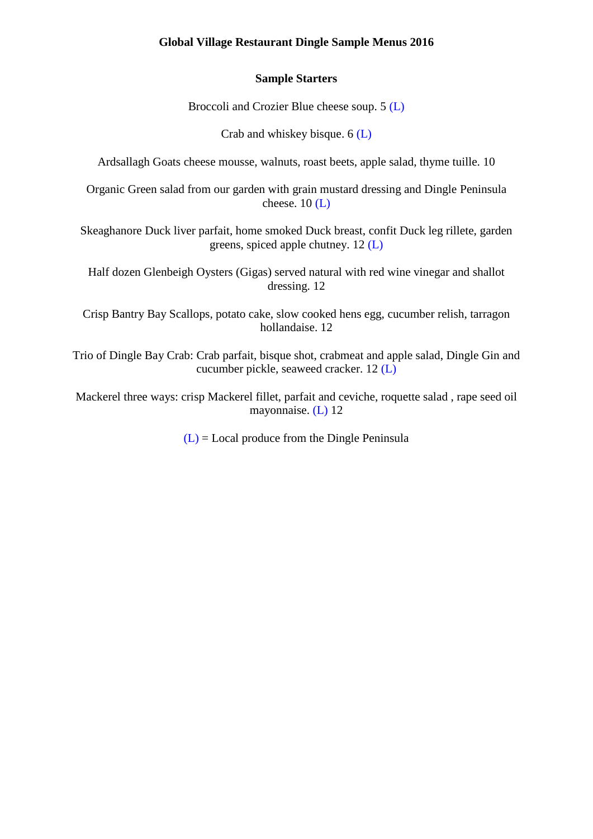#### **Global Village Restaurant Dingle Sample Menus 2016**

#### **Sample Starters**

Broccoli and Crozier Blue cheese soup. 5 (L)

Crab and whiskey bisque. 6 (L)

Ardsallagh Goats cheese mousse, walnuts, roast beets, apple salad, thyme tuille. 10

Organic Green salad from our garden with grain mustard dressing and Dingle Peninsula cheese.  $10$  (L)

Skeaghanore Duck liver parfait, home smoked Duck breast, confit Duck leg rillete, garden greens, spiced apple chutney. 12 (L)

Half dozen Glenbeigh Oysters (Gigas) served natural with red wine vinegar and shallot dressing. 12

Crisp Bantry Bay Scallops, potato cake, slow cooked hens egg, cucumber relish, tarragon hollandaise. 12

Trio of Dingle Bay Crab: Crab parfait, bisque shot, crabmeat and apple salad, Dingle Gin and cucumber pickle, seaweed cracker. 12 (L)

Mackerel three ways: crisp Mackerel fillet, parfait and ceviche, roquette salad , rape seed oil mayonnaise. (L) 12

 $(L)$  = Local produce from the Dingle Peninsula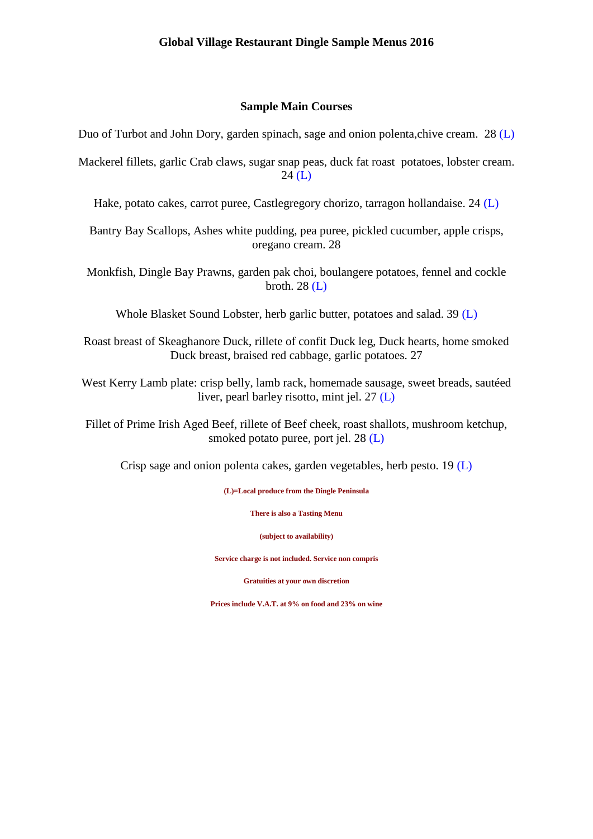#### **Sample Main Courses**

Duo of Turbot and John Dory, garden spinach, sage and onion polenta,chive cream. 28 (L)

Mackerel fillets, garlic Crab claws, sugar snap peas, duck fat roast potatoes, lobster cream. 24 (L)

Hake, potato cakes, carrot puree, Castlegregory chorizo, tarragon hollandaise. 24 (L)

Bantry Bay Scallops, Ashes white pudding, pea puree, pickled cucumber, apple crisps, oregano cream. 28

Monkfish, Dingle Bay Prawns, garden pak choi, boulangere potatoes, fennel and cockle broth. 28 (L)

Whole Blasket Sound Lobster, herb garlic butter, potatoes and salad. 39 (L)

Roast breast of Skeaghanore Duck, rillete of confit Duck leg, Duck hearts, home smoked Duck breast, braised red cabbage, garlic potatoes. 27

West Kerry Lamb plate: crisp belly, lamb rack, homemade sausage, sweet breads, sautéed liver, pearl barley risotto, mint jel. 27 (L)

Fillet of Prime Irish Aged Beef, rillete of Beef cheek, roast shallots, mushroom ketchup, smoked potato puree, port jel. 28 (L)

Crisp sage and onion polenta cakes, garden vegetables, herb pesto. 19 (L)

**(L)=Local produce from the Dingle Peninsula**

**There is also a Tasting Menu**

**(subject to availability)**

**Service charge is not included. Service non compris**

**Gratuities at your own discretion**

**Prices include V.A.T. at 9% on food and 23% on wine**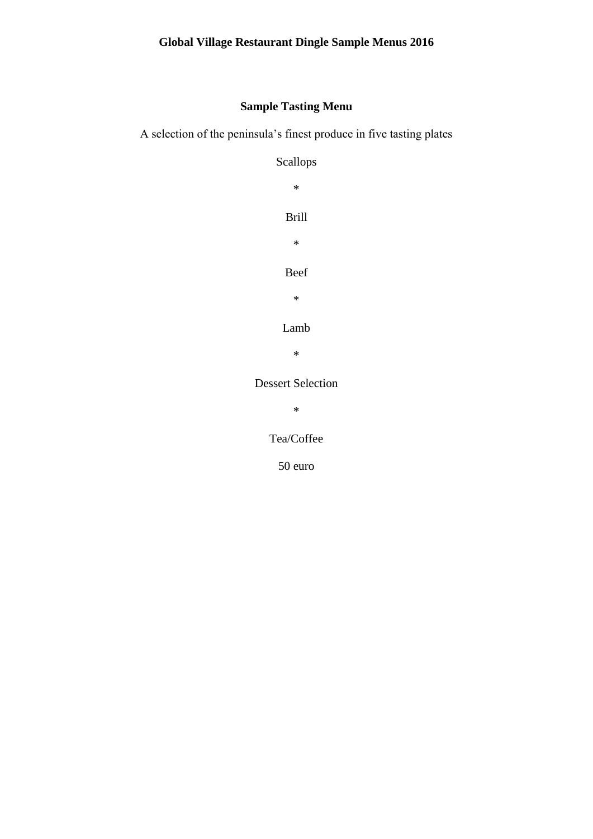## **Sample Tasting Menu**

A selection of the peninsula's finest produce in five tasting plates

Scallops

\* Brill \* Beef

\*

Lamb

\*

Dessert Selection

\*

Tea/Coffee

50 euro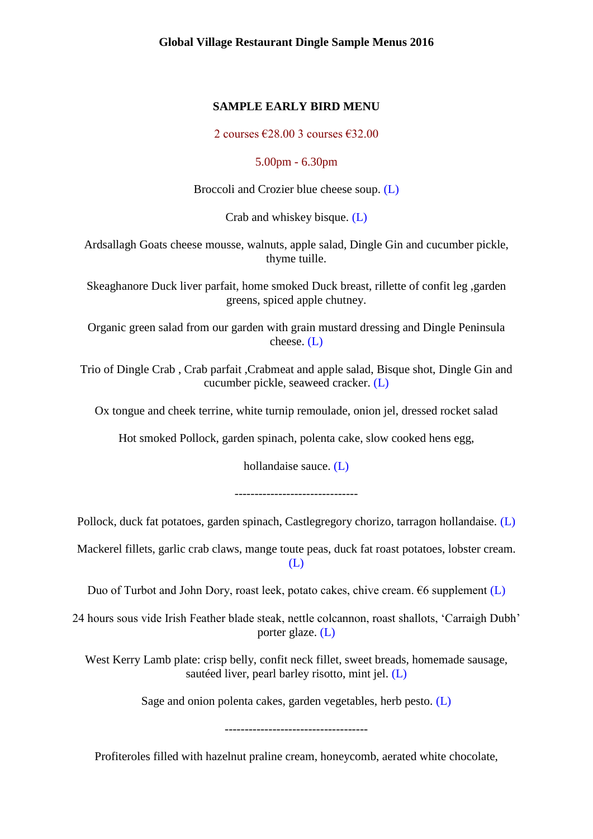#### **SAMPLE EARLY BIRD MENU**

2 courses  $\text{\textsterling}28.003$  courses  $\text{\textsterling}32.00$ 

5.00pm - 6.30pm

Broccoli and Crozier blue cheese soup. (L)

Crab and whiskey bisque. (L)

Ardsallagh Goats cheese mousse, walnuts, apple salad, Dingle Gin and cucumber pickle, thyme tuille.

Skeaghanore Duck liver parfait, home smoked Duck breast, rillette of confit leg ,garden greens, spiced apple chutney.

Organic green salad from our garden with grain mustard dressing and Dingle Peninsula cheese. (L)

Trio of Dingle Crab , Crab parfait ,Crabmeat and apple salad, Bisque shot, Dingle Gin and cucumber pickle, seaweed cracker. (L)

Ox tongue and cheek terrine, white turnip remoulade, onion jel, dressed rocket salad

Hot smoked Pollock, garden spinach, polenta cake, slow cooked hens egg,

hollandaise sauce. (L)

Pollock, duck fat potatoes, garden spinach, Castlegregory chorizo, tarragon hollandaise. (L)

Mackerel fillets, garlic crab claws, mange toute peas, duck fat roast potatoes, lobster cream. (L)

Duo of Turbot and John Dory, roast leek, potato cakes, chive cream.  $66$  supplement (L)

24 hours sous vide Irish Feather blade steak, nettle colcannon, roast shallots, 'Carraigh Dubh' porter glaze. (L)

West Kerry Lamb plate: crisp belly, confit neck fillet, sweet breads, homemade sausage, sautéed liver, pearl barley risotto, mint jel. (L)

Sage and onion polenta cakes, garden vegetables, herb pesto. (L)

Profiteroles filled with hazelnut praline cream, honeycomb, aerated white chocolate,